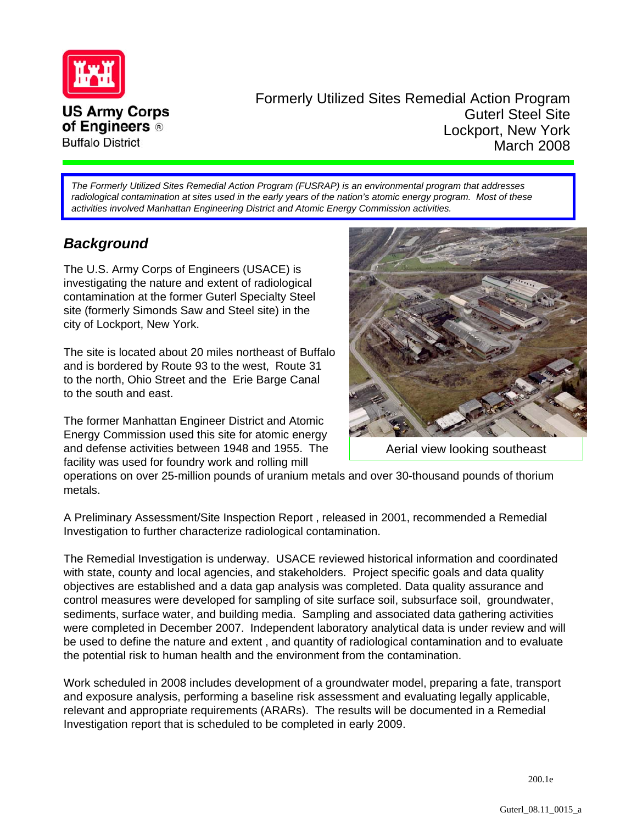

Formerly Utilized Sites Remedial Action Program Guterl Steel Site Lockport, New York March 2008

*The Formerly Utilized Sites Remedial Action Program (FUSRAP) is an environmental program that addresses*  radiological contamination at sites used in the early years of the nation's atomic energy program. Most of these *activities involved Manhattan Engineering District and Atomic Energy Commission activities.*

# *Background*

The U.S. Army Corps of Engineers (USACE) is investigating the nature and extent of radiological contamination at the former Guterl Specialty Steel site (formerly Simonds Saw and Steel site) in the city of Lockport, New York.

The site is located about 20 miles northeast of Buffalo and is bordered by Route 93 to the west, Route 31 to the north, Ohio Street and the Erie Barge Canal to the south and east.

The former Manhattan Engineer District and Atomic Energy Commission used this site for atomic energy and defense activities between 1948 and 1955. The facility was used for foundry work and rolling mill



Aerial view looking southeast

operations on over 25-million pounds of uranium metals and over 30-thousand pounds of thorium metals.

A Preliminary Assessment/Site Inspection Report , released in 2001, recommended a Remedial Investigation to further characterize radiological contamination.

The Remedial Investigation is underway. USACE reviewed historical information and coordinated with state, county and local agencies, and stakeholders. Project specific goals and data quality objectives are established and a data gap analysis was completed. Data quality assurance and control measures were developed for sampling of site surface soil, subsurface soil, groundwater, sediments, surface water, and building media. Sampling and associated data gathering activities were completed in December 2007. Independent laboratory analytical data is under review and will be used to define the nature and extent , and quantity of radiological contamination and to evaluate the potential risk to human health and the environment from the contamination.

Work scheduled in 2008 includes development of a groundwater model, preparing a fate, transport and exposure analysis, performing a baseline risk assessment and evaluating legally applicable, relevant and appropriate requirements (ARARs). The results will be documented in a Remedial Investigation report that is scheduled to be completed in early 2009.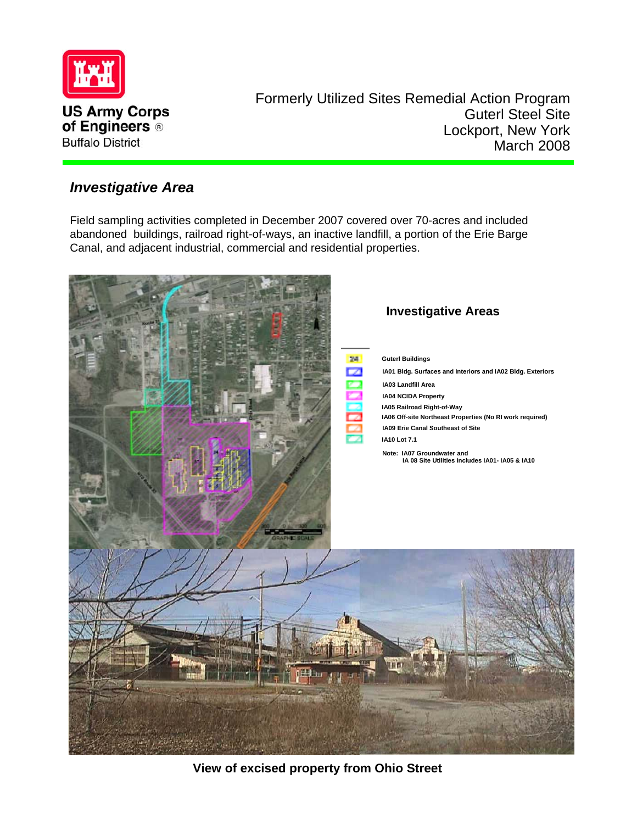

Formerly Utilized Sites Remedial Action Program Guterl Steel Site Lockport, New York March 2008

## *Investigative Area*

Field sampling activities completed in December 2007 covered over 70-acres and included abandoned buildings, railroad right-of-ways, an inactive landfill, a portion of the Erie Barge Canal, and adjacent industrial, commercial and residential properties.



**View of excised property from Ohio Street**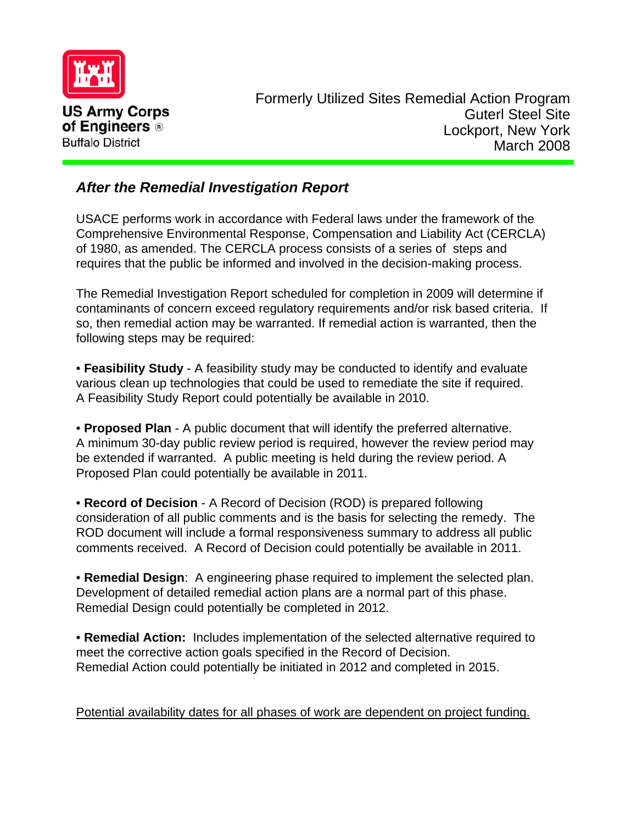

# *After the Remedial Investigation Report*

USACE performs work in accordance with Federal laws under the framework of the Comprehensive Environmental Response, Compensation and Liability Act (CERCLA) of 1980, as amended. The CERCLA process consists of a series of steps and requires that the public be informed and involved in the decision-making process.

The Remedial Investigation Report scheduled for completion in 2009 will determine if contaminants of concern exceed regulatory requirements and/or risk based criteria. If so, then remedial action may be warranted. If remedial action is warranted, then the following steps may be required:

• **Feasibility Study** - A feasibility study may be conducted to identify and evaluate various clean up technologies that could be used to remediate the site if required. A Feasibility Study Report could potentially be available in 2010.

• **Proposed Plan** - A public document that will identify the preferred alternative. A minimum 30-day public review period is required, however the review period may be extended if warranted. A public meeting is held during the review period. A Proposed Plan could potentially be available in 2011.

• **Record of Decision** - A Record of Decision (ROD) is prepared following consideration of all public comments and is the basis for selecting the remedy. The ROD document will include a formal responsiveness summary to address all public comments received. A Record of Decision could potentially be available in 2011.

• **Remedial Design**: A engineering phase required to implement the selected plan. Development of detailed remedial action plans are a normal part of this phase. Remedial Design could potentially be completed in 2012.

• **Remedial Action:** Includes implementation of the selected alternative required to meet the corrective action goals specified in the Record of Decision. Remedial Action could potentially be initiated in 2012 and completed in 2015.

Potential availability dates for all phases of work are dependent on project funding.